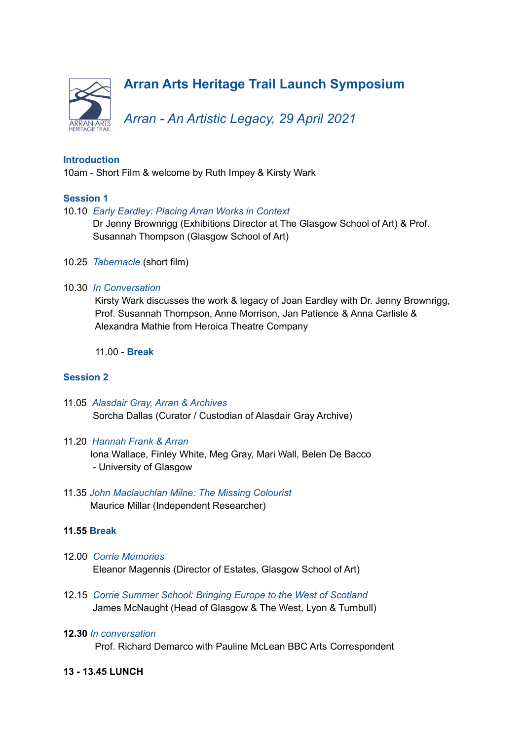

## **Introduction**

10am - Short Film & welcome by Ruth Impey & Kirsty Wark

## **Session 1**

#### 10.10 *Early Eardley: Placing Arran Works in Context*

Dr Jenny Brownrigg (Exhibitions Director at The Glasgow School of Art) & Prof. Susannah Thompson (Glasgow School of Art)

- 10.25 *Tabernacle* (short film)
- 10.30 *In Conversation*

Kirsty Wark discusses the work & legacy of Joan Eardley with Dr. Jenny Brownrigg, Prof. Susannah Thompson, Anne Morrison, Jan Patience & Anna Carlisle & Alexandra Mathie from Heroica Theatre Company

11.00 - **Break**

### **Session 2**

- 11.05 *Alasdair Gray, Arran & Archives* Sorcha Dallas (Curator / Custodian of Alasdair Gray Archive)
- 11.20 *Hannah Frank & Arran* Iona Wallace, Finley White, Meg Gray, Mari Wall, Belen De Bacco - University of Glasgow
- 11.35 *John Maclauchlan Milne: The Missing Colourist* Maurice Millar (Independent Researcher)

### **11.55 Break**

- 12.00 *Corrie Memories* Eleanor Magennis (Director of Estates, Glasgow School of Art)
- 12.15 *Corrie Summer School: Bringing Europe to the West of Scotland* James McNaught (Head of Glasgow & The West, Lyon & Turnbull)

#### **12.30** *In conversation*

Prof. Richard Demarco with Pauline McLean BBC Arts Correspondent

### **13 - 13.45 LUNCH**